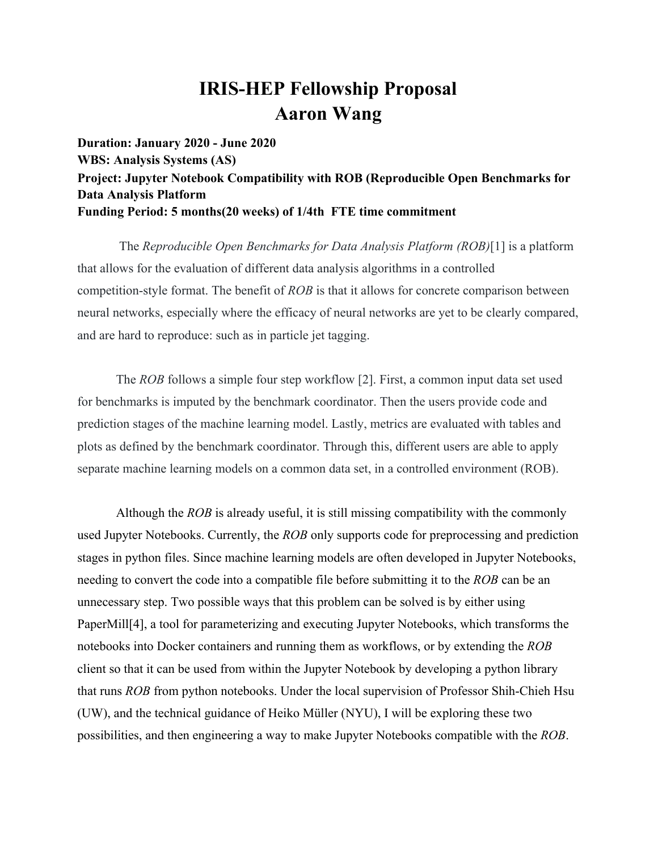# **IRIS-HEP Fellowship Proposal Aaron Wang**

**Duration: January 2020 - June 2020 WBS: Analysis Systems (AS) Project: Jupyter Notebook Compatibility with ROB (Reproducible Open Benchmarks for Data Analysis Platform Funding Period: 5 months(20 weeks) of 1/4th FTE time commitment**

 The *Reproducible Open Benchmarks for Data Analysis Platform (ROB)*[1] is a platform that allows for the evaluation of different data analysis algorithms in a controlled competition-style format. The benefit of *ROB* is that it allows for concrete comparison between neural networks, especially where the efficacy of neural networks are yet to be clearly compared, and are hard to reproduce: such as in particle jet tagging.

The *ROB* follows a simple four step workflow [2]. First, a common input data set used for benchmarks is imputed by the benchmark coordinator. Then the users provide code and prediction stages of the machine learning model. Lastly, metrics are evaluated with tables and plots as defined by the benchmark coordinator. Through this, different users are able to apply separate machine learning models on a common data set, in a controlled environment (ROB).

Although the *ROB* is already useful, it is still missing compatibility with the commonly used Jupyter Notebooks. Currently, the *ROB* only supports code for preprocessing and prediction stages in python files. Since machine learning models are often developed in Jupyter Notebooks, needing to convert the code into a compatible file before submitting it to the *ROB* can be an unnecessary step. Two possible ways that this problem can be solved is by either using PaperMill[4], a tool for parameterizing and executing Jupyter Notebooks, which transforms the notebooks into Docker containers and running them as workflows, or by extending the *ROB* client so that it can be used from within the Jupyter Notebook by developing a python library that runs *ROB* from python notebooks. Under the local supervision of Professor Shih-Chieh Hsu (UW), and the technical guidance of Heiko [Mü](https://en.wiktionary.org/wiki/%C3%BC)ller (NYU), I will be exploring these two possibilities, and then engineering a way to make Jupyter Notebooks compatible with the *ROB*.